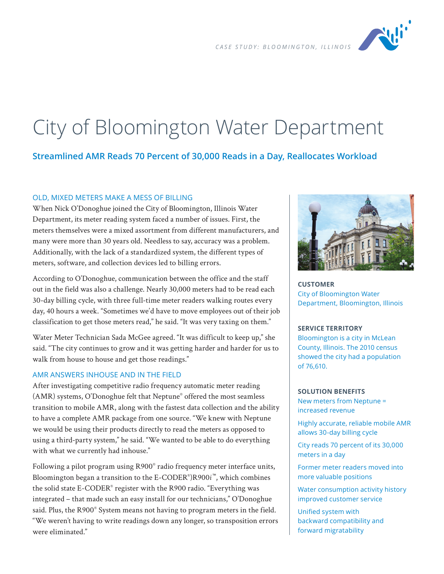*CASE STUDY: BLOOMINGTON, ILLINOIS*



# City of Bloomington Water Department

# **Streamlined AMR Reads 70 Percent of 30,000 Reads in a Day, Reallocates Workload**

#### OLD, MIXED METERS MAKE A MESS OF BILLING

When Nick O'Donoghue joined the City of Bloomington, Illinois Water Department, its meter reading system faced a number of issues. First, the meters themselves were a mixed assortment from different manufacturers, and many were more than 30 years old. Needless to say, accuracy was a problem. Additionally, with the lack of a standardized system, the different types of meters, software, and collection devices led to billing errors.

According to O'Donoghue, communication between the office and the staff out in the field was also a challenge. Nearly 30,000 meters had to be read each 30-day billing cycle, with three full-time meter readers walking routes every day, 40 hours a week. "Sometimes we'd have to move employees out of their job classification to get those meters read," he said. "It was very taxing on them."

Water Meter Technician Sada McGee agreed. "It was difficult to keep up," she said. "The city continues to grow and it was getting harder and harder for us to walk from house to house and get those readings."

#### AMR ANSWERS INHOUSE AND IN THE FIELD

After investigating competitive radio frequency automatic meter reading (AMR) systems, O'Donoghue felt that Neptune® offered the most seamless transition to mobile AMR, along with the fastest data collection and the ability to have a complete AMR package from one source. "We knew with Neptune we would be using their products directly to read the meters as opposed to using a third-party system," he said. "We wanted to be able to do everything with what we currently had inhouse."

Following a pilot program using R900® radio frequency meter interface units, Bloomington began a transition to the E-CODER® )R900*i* ™, which combines the solid state E-CODER® register with the R900 radio. "Everything was integrated – that made such an easy install for our technicians," O'Donoghue said. Plus, the R900<sup>®</sup> System means not having to program meters in the field. "We weren't having to write readings down any longer, so transposition errors were eliminated."



**CUSTOMER** City of Bloomington Water Department, Bloomington, Illinois

#### **SERVICE TERRITORY**

Bloomington is a city in McLean County, Illinois. The 2010 census showed the city had a population of 76,610.

#### **SOLUTION BENEFITS**

New meters from Neptune = increased revenue

Highly accurate, reliable mobile AMR allows 30-day billing cycle

City reads 70 percent of its 30,000 meters in a day

Former meter readers moved into more valuable positions

Water consumption activity history improved customer service

Unified system with backward compatibility and forward migratability